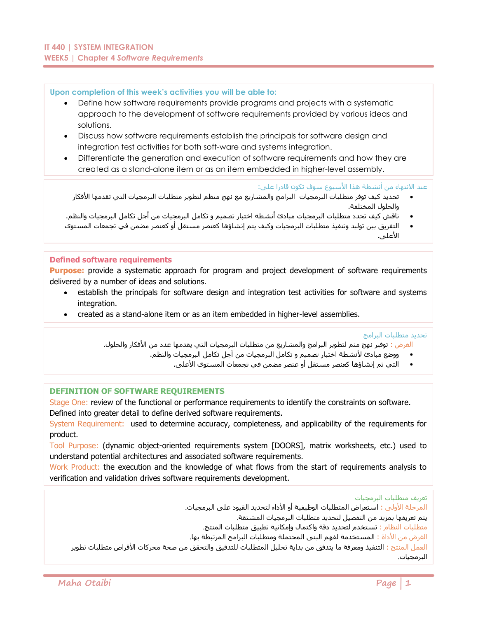# **Upon completion of this week's activities you will be able to:**

- Define how software requirements provide programs and projects with a systematic approach to the development of software requirements provided by various ideas and solutions.
- Discuss how software requirements establish the principals for software design and integration test activities for both soft-ware and systems integration.
- Differentiate the generation and execution of software requirements and how they are created as a stand-alone item or as an item embedded in higher-level assembly.

عند الانتهاء من أنشطة هذا الأسبوع سوف تكون قادرا على:

- تحديد كيف توفر متطلبات البرمجيات البرامج والمشاريع مع نهج منظم لتطوير متطلبات البرمجيات التي تقدمها األفكار والحلول المختلفة.
- ناقش كيف تحدد متطلبات البرمجيات مبادئ أنشطة اختبار تصميم و تكامل البرمجيات من أجل تكامل البرمجيات والنظم.
- التفريق بين توليد وتنفيذ متطلبات البرمجيات وكيف يتم إنشاؤها كعنصر مستقل أو كعنصر مضمن في تجمعات المستوى الأعلى.

# **Defined software requirements**

**Purpose:** provide a systematic approach for program and project development of software requirements delivered by a number of ideas and solutions.

- establish the principals for software design and integration test activities for software and systems integration.
- created as a stand-alone item or as an item embedded in higher-level assemblies.

تحديد متطلبات البرامج

الغرض : توفير نهج منم لتطوير البرامج والمشاريع من متطلبات البرمجيات التي يقدمها عدد من األفكار والحلول.

- ووضع مبادئ ألنشطة اختبار تصميم و تكامل البرمجيات من أجل تكامل البرمجيات والنظم.
	- التي تم إنشاؤها كعنصر مستقل أو عنصر مضمن في تجمعات المستوى األعلى.

# **DEFINITION OF SOFTWARE REQUIREMENTS**

Stage One: review of the functional or performance requirements to identify the constraints on software. Defined into greater detail to define derived software requirements.

System Requirement: used to determine accuracy, completeness, and applicability of the requirements for product.

Tool Purpose: (dynamic object-oriented requirements system [DOORS], matrix worksheets, etc.) used to understand potential architectures and associated software requirements.

Work Product: the execution and the knowledge of what flows from the start of requirements analysis to verification and validation drives software requirements development.

تعريف متطلبات البرمجيات

المرحلة األولى : استعراض المتطلبات الوظيفية أو األداء لتحديد القيود على البرمجيات.

يتم تعريفها بمزيد من التفصيل لتحديد متطلبات البرمجيات المشتقة.

متطلبات النظام : تستخدم لتحديد دقة واكتمال وإمكانية تطبيق متطلبات المنتج.

الغرض من األداة : المستخدمة لفهم البنى المحتملة ومتطلبات البرامج المرتبطة بها.

العمل المنتج : التنفيذ ومعرفة ما يتدفق من بداية تحليل المتطلبات للتدقيق والتحقق من صحة محركات األقراص متطلبات تطوير البرمجيات.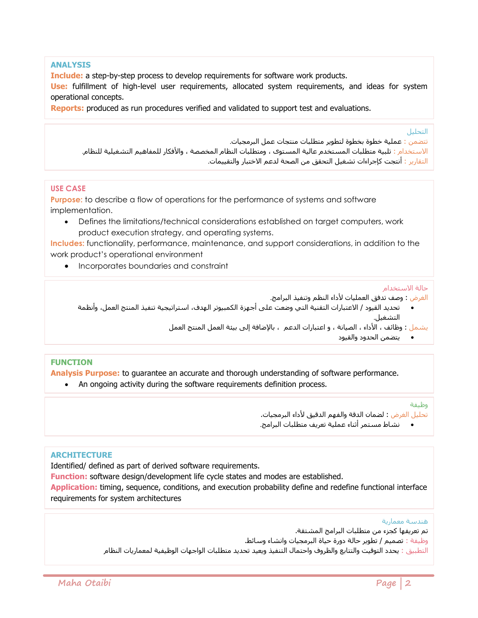# **ANALYSIS**

**Include:** a step-by-step process to develop requirements for software work products.

**Use:** fulfillment of high-level user requirements, allocated system requirements, and ideas for system operational concepts.

**Reports:** produced as run procedures verified and validated to support test and evaluations.

التحليل

تتضمن : عملية خطوة بخطوة لتطوير متطلبات منتجات عمل البرمجيات. االستخدام : تلبية متطلبات المستخدم عالية المستوى ، ومتطلبات النظام المخصصة ، واألفكار للمفاهيم التشغيلية للنظام. التقارير : أنتجت كإجراءات تشغيل التحقق من الصحة لدعم االختبار والتقييمات.

# **USE CASE**

**Purpose:** to describe a flow of operations for the performance of systems and software implementation.

 Defines the limitations/technical considerations established on target computers, work product execution strategy, and operating systems.

**Includes:** functionality, performance, maintenance, and support considerations, in addition to the work product's operational environment

• Incorporates boundaries and constraint

## حالة االستخدام

الغرض : وصف تدفق العمليات لأداء النظم وتنفيذ البرامج.

- تحديد القيود / االعتبارات التقنية التي وضعت على أجهزة الكمبيوتر الهدف، استراتيجية تنفيذ المنتج العمل، وأنظمة التشغيل.
	- يشمل : وظائف ، األداء ، الصيانة ، و اعتبارات الدعم ، باإلضافة إلى بيئة العمل المنتج العمل
		- يتضمن الحدود والقيود

# **FUNCTION**

**Analysis Purpose:** to guarantee an accurate and thorough understanding of software performance. An ongoing activity during the software requirements definition process.

## وظيفة

تحليل الغرض : لضمان الدقة والفهم الدقيق لأداء البرمجيات.

نشاط مستمر أثناء عملية تعريف متطلبات البرامج.

# **ARCHITECTURE**

Identified/ defined as part of derived software requirements.

**Function:** software design/development life cycle states and modes are established.

**Application:** timing, sequence, conditions, and execution probability define and redefine functional interface requirements for system architectures

## هندسة معمارية

تم تعريفها كجزء من متطلبات البرامج المشتقة.

وظيفة : تصميم / تطوير حالة دورة حياة البرمجيات وانشاء وسائط.

التطبيق : يحدد التوقيت والتتابع والظروف واحتمال التنفيذ ويعيد تحديد متطلبات الواجهات الوظيفية لمعماريات النظام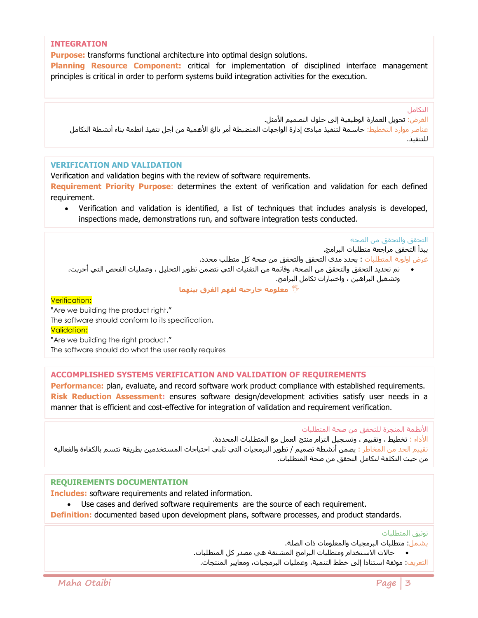## **INTEGRATION**

**Purpose:** transforms functional architecture into optimal design solutions.

**Planning Resource Component:** critical for implementation of disciplined interface management principles is critical in order to perform systems build integration activities for the execution.

التكامل

الغرض: تحويل العمارة الوظيفية إلى حلول التصميم الأمثل. عناصر موارد التخطيط: حاسمة لتنفيذ مبادئ إدارة الواجهات المنضبطة أمر بالغ األهمية من أجل تنفيذ أنظمة بناء أنشطة التكامل للتنفيذ.

# **VERIFICATION AND VALIDATION**

Verification and validation begins with the review of software requirements.

**Requirement Priority Purpose**: determines the extent of verification and validation for each defined requirement.

 Verification and validation is identified, a list of techniques that includes analysis is developed, inspections made, demonstrations run, and software integration tests conducted.

التحقق والتحقق من الصحه

يبدأ التحقق مراجعة متطلبات البرامج.

غرض اولوية المتطلبات : يحدد مدى التحقق والتحقق من صحة كل متطلب محدد.

 تم تحديد التحقق والتحقق من الصحة، وقائمة من التقنيات التي تتضمن تطوير التحليل ، وعمليات الفحص التي أجريت، وتشغيل البراهين ، واختبارات تكامل البرامج.

**معلومه خارجيه لفهم الفرق بينهما**

## Verification:

"Are we building the product right."

The software should conform to its specification.

Validation:

"Are we building the right product." The software should do what the user really requires

**ACCOMPLISHED SYSTEMS VERIFICATION AND VALIDATION OF REQUIREMENTS**

Performance: plan, evaluate, and record software work product compliance with established requirements. **Risk Reduction Assessment:** ensures software design/development activities satisfy user needs in a manner that is efficient and cost-effective for integration of validation and requirement verification.

األنظمة المنجزة للتحقق من صحة المتطلبات

األداء : تخطيط ، وتقييم ، وتسجيل التزام منتج العمل مع المتطلبات المحددة.

تقييم الحد من المخاطر : یضمن أنشطة تصميم / تطویر البرمجيات التي تلبي احتياجات المستخدمين بطریقة تتسم بالکفاءة والفعالية من حيث التکلفة لتكامل التحقق من صحة المتطلبات.

# **REQUIREMENTS DOCUMENTATION**

**Includes:** software requirements and related information.

Use cases and derived software requirements are the source of each requirement.

**Definition:** documented based upon development plans, software processes, and product standards.

توثيق المتطلبات

يشمل: متطلبات البرمجيات والمعلومات ذات الصلة.

حالات الاستخدام ومتطلبات البرامج المشتقة هي مصدر كل المتطلبات.

التعريف: موثقة استنادا إلى خطط التنمية، وعمليات البرمجيات، ومعايير المنتجات.